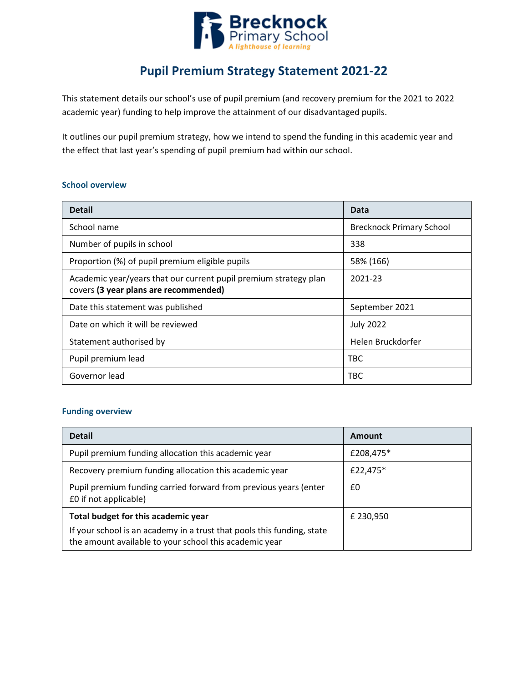

# **Pupil Premium Strategy Statement 2021-22**

This statement details our school's use of pupil premium (and recovery premium for the 2021 to 2022 academic year) funding to help improve the attainment of our disadvantaged pupils.

It outlines our pupil premium strategy, how we intend to spend the funding in this academic year and the effect that last year's spending of pupil premium had within our school.

#### **School overview**

| <b>Detail</b>                                                                                             | Data                            |
|-----------------------------------------------------------------------------------------------------------|---------------------------------|
| School name                                                                                               | <b>Brecknock Primary School</b> |
| Number of pupils in school                                                                                | 338                             |
| Proportion (%) of pupil premium eligible pupils                                                           | 58% (166)                       |
| Academic year/years that our current pupil premium strategy plan<br>covers (3 year plans are recommended) | 2021-23                         |
| Date this statement was published                                                                         | September 2021                  |
| Date on which it will be reviewed                                                                         | <b>July 2022</b>                |
| Statement authorised by                                                                                   | Helen Bruckdorfer               |
| Pupil premium lead                                                                                        | TBC                             |
| Governor lead                                                                                             | TBC                             |

#### **Funding overview**

| <b>Detail</b>                                                                                                                    | Amount    |  |
|----------------------------------------------------------------------------------------------------------------------------------|-----------|--|
| Pupil premium funding allocation this academic year                                                                              | £208,475* |  |
| Recovery premium funding allocation this academic year                                                                           | £22,475*  |  |
| Pupil premium funding carried forward from previous years (enter<br>£0 if not applicable)                                        | £0        |  |
| Total budget for this academic year                                                                                              | £ 230,950 |  |
| If your school is an academy in a trust that pools this funding, state<br>the amount available to your school this academic year |           |  |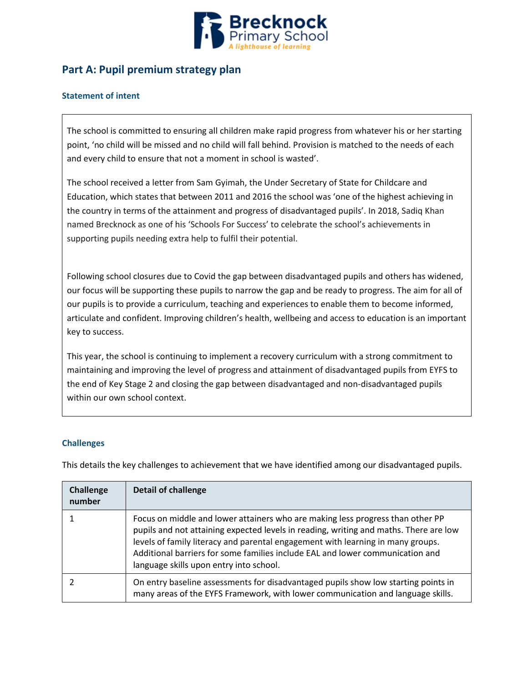

## **Part A: Pupil premium strategy plan**

### **Statement of intent**

The school is committed to ensuring all children make rapid progress from whatever his or her starting point, 'no child will be missed and no child will fall behind. Provision is matched to the needs of each and every child to ensure that not a moment in school is wasted'.

The school received a letter from Sam Gyimah, the Under Secretary of State for Childcare and Education, which states that between 2011 and 2016 the school was 'one of the highest achieving in the country in terms of the attainment and progress of disadvantaged pupils'. In 2018, Sadiq Khan named Brecknock as one of his 'Schools For Success' to celebrate the school's achievements in supporting pupils needing extra help to fulfil their potential.

Following school closures due to Covid the gap between disadvantaged pupils and others has widened, our focus will be supporting these pupils to narrow the gap and be ready to progress. The aim for all of our pupils is to provide a curriculum, teaching and experiences to enable them to become informed, articulate and confident. Improving children's health, wellbeing and access to education is an important key to success.

This year, the school is continuing to implement a recovery curriculum with a strong commitment to maintaining and improving the level of progress and attainment of disadvantaged pupils from EYFS to the end of Key Stage 2 and closing the gap between disadvantaged and non-disadvantaged pupils within our own school context.

### **Challenges**

This details the key challenges to achievement that we have identified among our disadvantaged pupils.

| Challenge<br>number | <b>Detail of challenge</b>                                                                                                                                                                                                                                                                                                                                                             |
|---------------------|----------------------------------------------------------------------------------------------------------------------------------------------------------------------------------------------------------------------------------------------------------------------------------------------------------------------------------------------------------------------------------------|
|                     | Focus on middle and lower attainers who are making less progress than other PP<br>pupils and not attaining expected levels in reading, writing and maths. There are low<br>levels of family literacy and parental engagement with learning in many groups.<br>Additional barriers for some families include EAL and lower communication and<br>language skills upon entry into school. |
|                     | On entry baseline assessments for disadvantaged pupils show low starting points in<br>many areas of the EYFS Framework, with lower communication and language skills.                                                                                                                                                                                                                  |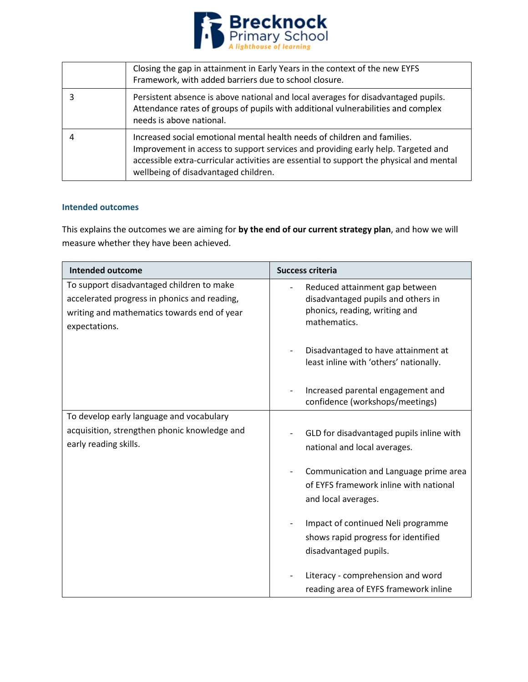

| Closing the gap in attainment in Early Years in the context of the new EYFS<br>Framework, with added barriers due to school closure.                                                                                                                                                            |
|-------------------------------------------------------------------------------------------------------------------------------------------------------------------------------------------------------------------------------------------------------------------------------------------------|
| Persistent absence is above national and local averages for disadvantaged pupils.<br>Attendance rates of groups of pupils with additional vulnerabilities and complex<br>needs is above national.                                                                                               |
| Increased social emotional mental health needs of children and families.<br>Improvement in access to support services and providing early help. Targeted and<br>accessible extra-curricular activities are essential to support the physical and mental<br>wellbeing of disadvantaged children. |

### **Intended outcomes**

This explains the outcomes we are aiming for **by the end of our current strategy plan**, and how we will measure whether they have been achieved.

| <b>Intended outcome</b>                                                                                                                                   | <b>Success criteria</b>                                                                                               |
|-----------------------------------------------------------------------------------------------------------------------------------------------------------|-----------------------------------------------------------------------------------------------------------------------|
| To support disadvantaged children to make<br>accelerated progress in phonics and reading,<br>writing and mathematics towards end of year<br>expectations. | Reduced attainment gap between<br>disadvantaged pupils and others in<br>phonics, reading, writing and<br>mathematics. |
|                                                                                                                                                           | Disadvantaged to have attainment at<br>least inline with 'others' nationally.                                         |
|                                                                                                                                                           | Increased parental engagement and<br>confidence (workshops/meetings)                                                  |
| To develop early language and vocabulary                                                                                                                  |                                                                                                                       |
| acquisition, strengthen phonic knowledge and<br>early reading skills.                                                                                     | GLD for disadvantaged pupils inline with<br>national and local averages.                                              |
|                                                                                                                                                           | Communication and Language prime area<br>of EYFS framework inline with national<br>and local averages.                |
|                                                                                                                                                           | Impact of continued Neli programme<br>shows rapid progress for identified<br>disadvantaged pupils.                    |
|                                                                                                                                                           | Literacy - comprehension and word<br>reading area of EYFS framework inline                                            |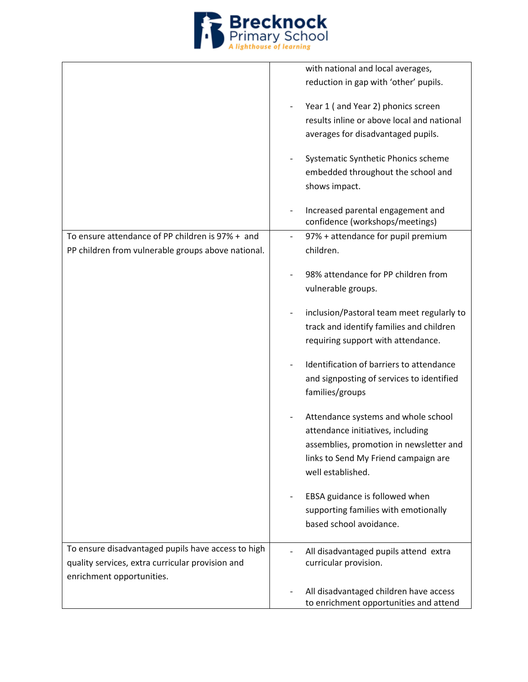

|                                                    | with national and local averages,                                    |
|----------------------------------------------------|----------------------------------------------------------------------|
|                                                    | reduction in gap with 'other' pupils.                                |
|                                                    |                                                                      |
|                                                    | Year 1 (and Year 2) phonics screen                                   |
|                                                    | results inline or above local and national                           |
|                                                    | averages for disadvantaged pupils.                                   |
|                                                    |                                                                      |
|                                                    | Systematic Synthetic Phonics scheme                                  |
|                                                    | embedded throughout the school and                                   |
|                                                    | shows impact.                                                        |
|                                                    |                                                                      |
|                                                    | Increased parental engagement and<br>confidence (workshops/meetings) |
| To ensure attendance of PP children is 97% + and   | 97% + attendance for pupil premium                                   |
|                                                    | children.                                                            |
| PP children from vulnerable groups above national. |                                                                      |
|                                                    | 98% attendance for PP children from                                  |
|                                                    | vulnerable groups.                                                   |
|                                                    |                                                                      |
|                                                    | inclusion/Pastoral team meet regularly to                            |
|                                                    | track and identify families and children                             |
|                                                    | requiring support with attendance.                                   |
|                                                    |                                                                      |
|                                                    | Identification of barriers to attendance                             |
|                                                    | and signposting of services to identified                            |
|                                                    | families/groups                                                      |
|                                                    |                                                                      |
|                                                    | Attendance systems and whole school                                  |
|                                                    | attendance initiatives, including                                    |
|                                                    | assemblies, promotion in newsletter and                              |
|                                                    | links to Send My Friend campaign are                                 |
|                                                    | well established.                                                    |
|                                                    |                                                                      |
|                                                    | EBSA guidance is followed when                                       |
|                                                    | supporting families with emotionally                                 |
|                                                    | based school avoidance.                                              |
|                                                    |                                                                      |
| To ensure disadvantaged pupils have access to high | All disadvantaged pupils attend extra                                |
| quality services, extra curricular provision and   | curricular provision.                                                |
| enrichment opportunities.                          |                                                                      |
|                                                    | All disadvantaged children have access                               |
|                                                    | to enrichment opportunities and attend                               |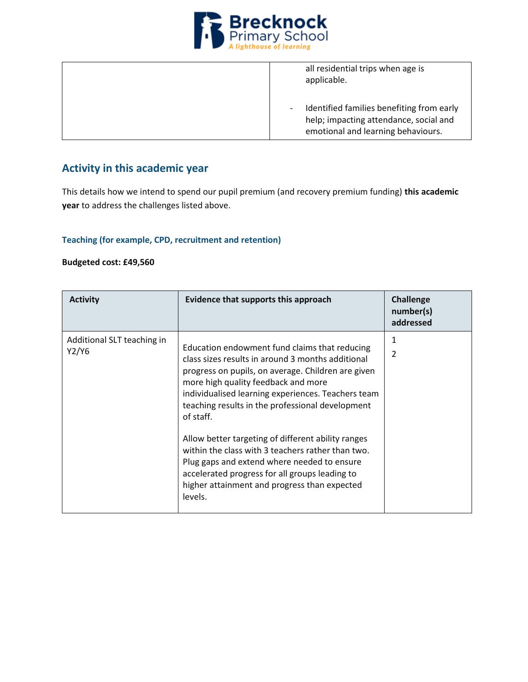

all residential trips when age is applicable. - Identified families benefiting from early help; impacting attendance, social and emotional and learning behaviours.

## **Activity in this academic year**

This details how we intend to spend our pupil premium (and recovery premium funding) **this academic year** to address the challenges listed above.

### **Teaching (for example, CPD, recruitment and retention)**

#### **Budgeted cost: £49,560**

| <b>Activity</b>                     | Evidence that supports this approach                                                                                                                                                                                                                                                                                                                                                                                                                                                                                                                                                          | <b>Challenge</b><br>number(s)<br>addressed |
|-------------------------------------|-----------------------------------------------------------------------------------------------------------------------------------------------------------------------------------------------------------------------------------------------------------------------------------------------------------------------------------------------------------------------------------------------------------------------------------------------------------------------------------------------------------------------------------------------------------------------------------------------|--------------------------------------------|
| Additional SLT teaching in<br>Y2/Y6 | Education endowment fund claims that reducing<br>class sizes results in around 3 months additional<br>progress on pupils, on average. Children are given<br>more high quality feedback and more<br>individualised learning experiences. Teachers team<br>teaching results in the professional development<br>of staff.<br>Allow better targeting of different ability ranges<br>within the class with 3 teachers rather than two.<br>Plug gaps and extend where needed to ensure<br>accelerated progress for all groups leading to<br>higher attainment and progress than expected<br>levels. | 1<br>$\mathfrak{p}$                        |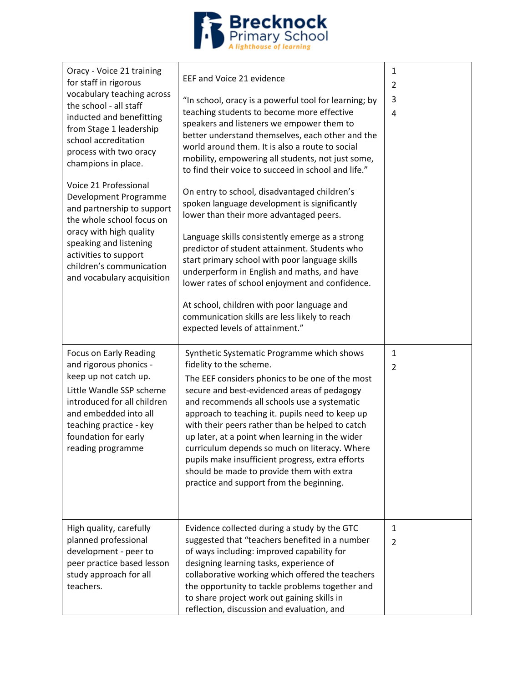

| Oracy - Voice 21 training<br>for staff in rigorous<br>vocabulary teaching across<br>the school - all staff<br>inducted and benefitting<br>from Stage 1 leadership<br>school accreditation<br>process with two oracy<br>champions in place.<br>Voice 21 Professional<br>Development Programme<br>and partnership to support<br>the whole school focus on<br>oracy with high quality<br>speaking and listening<br>activities to support<br>children's communication<br>and vocabulary acquisition | EEF and Voice 21 evidence<br>"In school, oracy is a powerful tool for learning; by<br>teaching students to become more effective<br>speakers and listeners we empower them to<br>better understand themselves, each other and the<br>world around them. It is also a route to social<br>mobility, empowering all students, not just some,<br>to find their voice to succeed in school and life."<br>On entry to school, disadvantaged children's<br>spoken language development is significantly<br>lower than their more advantaged peers.<br>Language skills consistently emerge as a strong<br>predictor of student attainment. Students who<br>start primary school with poor language skills<br>underperform in English and maths, and have<br>lower rates of school enjoyment and confidence.<br>At school, children with poor language and<br>communication skills are less likely to reach<br>expected levels of attainment." | 1<br>2<br>3<br>4               |
|-------------------------------------------------------------------------------------------------------------------------------------------------------------------------------------------------------------------------------------------------------------------------------------------------------------------------------------------------------------------------------------------------------------------------------------------------------------------------------------------------|---------------------------------------------------------------------------------------------------------------------------------------------------------------------------------------------------------------------------------------------------------------------------------------------------------------------------------------------------------------------------------------------------------------------------------------------------------------------------------------------------------------------------------------------------------------------------------------------------------------------------------------------------------------------------------------------------------------------------------------------------------------------------------------------------------------------------------------------------------------------------------------------------------------------------------------|--------------------------------|
| Focus on Early Reading<br>and rigorous phonics -<br>keep up not catch up.<br>Little Wandle SSP scheme<br>introduced for all children<br>and embedded into all<br>teaching practice - key<br>foundation for early<br>reading programme                                                                                                                                                                                                                                                           | Synthetic Systematic Programme which shows<br>fidelity to the scheme.<br>The EEF considers phonics to be one of the most<br>secure and best-evidenced areas of pedagogy<br>and recommends all schools use a systematic<br>approach to teaching it. pupils need to keep up<br>with their peers rather than be helped to catch<br>up later, at a point when learning in the wider<br>curriculum depends so much on literacy. Where<br>pupils make insufficient progress, extra efforts<br>should be made to provide them with extra<br>practice and support from the beginning.                                                                                                                                                                                                                                                                                                                                                         | $\mathbf{1}$<br>$\overline{2}$ |
| High quality, carefully<br>planned professional<br>development - peer to<br>peer practice based lesson<br>study approach for all<br>teachers.                                                                                                                                                                                                                                                                                                                                                   | Evidence collected during a study by the GTC<br>suggested that "teachers benefited in a number<br>of ways including: improved capability for<br>designing learning tasks, experience of<br>collaborative working which offered the teachers<br>the opportunity to tackle problems together and<br>to share project work out gaining skills in<br>reflection, discussion and evaluation, and                                                                                                                                                                                                                                                                                                                                                                                                                                                                                                                                           | $\mathbf{1}$<br>2              |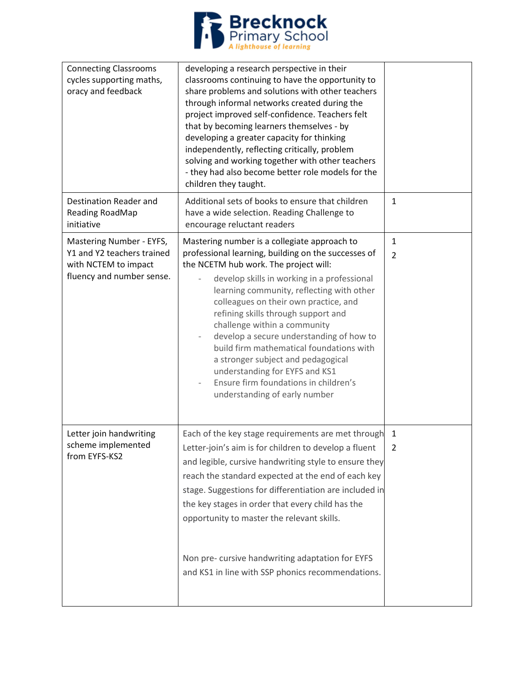

| <b>Connecting Classrooms</b><br>cycles supporting maths,<br>oracy and feedback                              | developing a research perspective in their<br>classrooms continuing to have the opportunity to<br>share problems and solutions with other teachers<br>through informal networks created during the<br>project improved self-confidence. Teachers felt<br>that by becoming learners themselves - by<br>developing a greater capacity for thinking<br>independently, reflecting critically, problem<br>solving and working together with other teachers<br>- they had also become better role models for the<br>children they taught.                                                                |                      |
|-------------------------------------------------------------------------------------------------------------|----------------------------------------------------------------------------------------------------------------------------------------------------------------------------------------------------------------------------------------------------------------------------------------------------------------------------------------------------------------------------------------------------------------------------------------------------------------------------------------------------------------------------------------------------------------------------------------------------|----------------------|
| Destination Reader and<br>Reading RoadMap<br>initiative                                                     | Additional sets of books to ensure that children<br>have a wide selection. Reading Challenge to<br>encourage reluctant readers                                                                                                                                                                                                                                                                                                                                                                                                                                                                     | $\mathbf 1$          |
| Mastering Number - EYFS,<br>Y1 and Y2 teachers trained<br>with NCTEM to impact<br>fluency and number sense. | Mastering number is a collegiate approach to<br>professional learning, building on the successes of<br>the NCETM hub work. The project will:<br>develop skills in working in a professional<br>learning community, reflecting with other<br>colleagues on their own practice, and<br>refining skills through support and<br>challenge within a community<br>develop a secure understanding of how to<br>build firm mathematical foundations with<br>a stronger subject and pedagogical<br>understanding for EYFS and KS1<br>Ensure firm foundations in children's<br>understanding of early number | $\mathbf{1}$<br>2    |
| Letter join handwriting<br>scheme implemented<br>from EYFS-KS2                                              | Each of the key stage requirements are met through<br>Letter-join's aim is for children to develop a fluent<br>and legible, cursive handwriting style to ensure they<br>reach the standard expected at the end of each key<br>stage. Suggestions for differentiation are included in<br>the key stages in order that every child has the<br>opportunity to master the relevant skills.<br>Non pre- cursive handwriting adaptation for EYFS<br>and KS1 in line with SSP phonics recommendations.                                                                                                    | -1<br>$\overline{2}$ |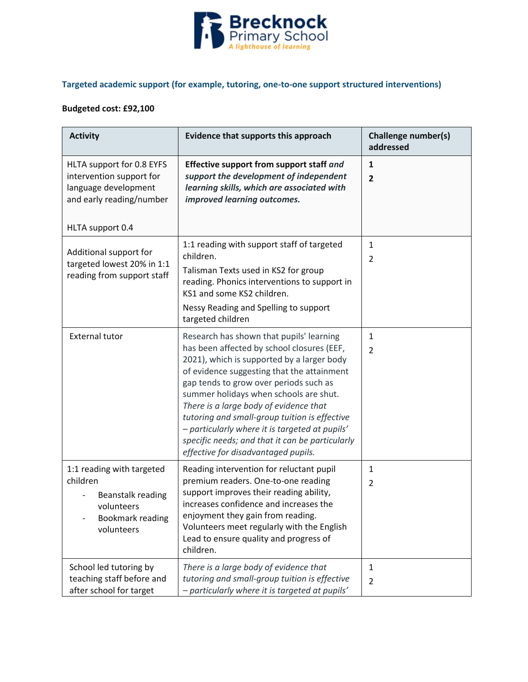

## **Targeted academic support (for example, tutoring, one-to-one support structured interventions)**

## **Budgeted cost: £92,100**

| <b>Activity</b>                                                                                                               | Evidence that supports this approach                                                                                                                                                                                                                                                                                                                                                                                                                                                                          | <b>Challenge number(s)</b><br>addressed |
|-------------------------------------------------------------------------------------------------------------------------------|---------------------------------------------------------------------------------------------------------------------------------------------------------------------------------------------------------------------------------------------------------------------------------------------------------------------------------------------------------------------------------------------------------------------------------------------------------------------------------------------------------------|-----------------------------------------|
| HLTA support for 0.8 EYFS<br>intervention support for<br>language development<br>and early reading/number<br>HLTA support 0.4 | Effective support from support staff and<br>support the development of independent<br>learning skills, which are associated with<br>improved learning outcomes.                                                                                                                                                                                                                                                                                                                                               | 1<br>$\overline{2}$                     |
| Additional support for<br>targeted lowest 20% in 1:1<br>reading from support staff                                            | 1:1 reading with support staff of targeted<br>children.<br>Talisman Texts used in KS2 for group<br>reading. Phonics interventions to support in<br>KS1 and some KS2 children.<br>Nessy Reading and Spelling to support<br>targeted children                                                                                                                                                                                                                                                                   | $\mathbf{1}$<br>$\overline{2}$          |
| <b>External tutor</b>                                                                                                         | Research has shown that pupils' learning<br>has been affected by school closures (EEF,<br>2021), which is supported by a larger body<br>of evidence suggesting that the attainment<br>gap tends to grow over periods such as<br>summer holidays when schools are shut.<br>There is a large body of evidence that<br>tutoring and small-group tuition is effective<br>- particularly where it is targeted at pupils'<br>specific needs; and that it can be particularly<br>effective for disadvantaged pupils. | 1<br>$\overline{2}$                     |
| 1:1 reading with targeted<br>children<br>Beanstalk reading<br>volunteers<br>Bookmark reading<br>volunteers                    | Reading intervention for reluctant pupil<br>premium readers. One-to-one reading<br>support improves their reading ability,<br>increases confidence and increases the<br>enjoyment they gain from reading.<br>Volunteers meet regularly with the English<br>Lead to ensure quality and progress of<br>children.                                                                                                                                                                                                | $\mathbf{1}$<br>2                       |
| School led tutoring by<br>teaching staff before and<br>after school for target                                                | There is a large body of evidence that<br>tutoring and small-group tuition is effective<br>- particularly where it is targeted at pupils'                                                                                                                                                                                                                                                                                                                                                                     | 1<br>$\overline{2}$                     |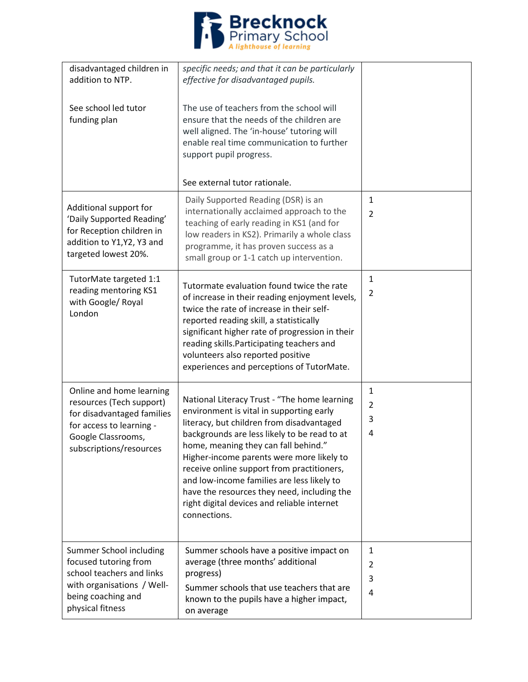

| disadvantaged children in<br>addition to NTP.<br>See school led tutor<br>funding plan                                                                           | specific needs; and that it can be particularly<br>effective for disadvantaged pupils.<br>The use of teachers from the school will<br>ensure that the needs of the children are<br>well aligned. The 'in-house' tutoring will<br>enable real time communication to further<br>support pupil progress.                                                                                                                                                                                |                               |
|-----------------------------------------------------------------------------------------------------------------------------------------------------------------|--------------------------------------------------------------------------------------------------------------------------------------------------------------------------------------------------------------------------------------------------------------------------------------------------------------------------------------------------------------------------------------------------------------------------------------------------------------------------------------|-------------------------------|
|                                                                                                                                                                 | See external tutor rationale.                                                                                                                                                                                                                                                                                                                                                                                                                                                        |                               |
| Additional support for<br>'Daily Supported Reading'<br>for Reception children in<br>addition to Y1, Y2, Y3 and<br>targeted lowest 20%.                          | Daily Supported Reading (DSR) is an<br>internationally acclaimed approach to the<br>teaching of early reading in KS1 (and for<br>low readers in KS2). Primarily a whole class<br>programme, it has proven success as a<br>small group or 1-1 catch up intervention.                                                                                                                                                                                                                  | $\mathbf 1$<br>$\overline{2}$ |
| TutorMate targeted 1:1<br>reading mentoring KS1<br>with Google/ Royal<br>London                                                                                 | Tutormate evaluation found twice the rate<br>of increase in their reading enjoyment levels,<br>twice the rate of increase in their self-<br>reported reading skill, a statistically<br>significant higher rate of progression in their<br>reading skills. Participating teachers and<br>volunteers also reported positive<br>experiences and perceptions of TutorMate.                                                                                                               | $\mathbf{1}$<br>2             |
| Online and home learning<br>resources (Tech support)<br>for disadvantaged families<br>for access to learning -<br>Google Classrooms,<br>subscriptions/resources | National Literacy Trust - "The home learning<br>environment is vital in supporting early<br>literacy, but children from disadvantaged<br>backgrounds are less likely to be read to at<br>home, meaning they can fall behind."<br>Higher-income parents were more likely to<br>receive online support from practitioners,<br>and low-income families are less likely to<br>have the resources they need, including the<br>right digital devices and reliable internet<br>connections. | $\mathbf{1}$<br>2<br>3<br>4   |
| Summer School including<br>focused tutoring from<br>school teachers and links<br>with organisations / Well-<br>being coaching and<br>physical fitness           | Summer schools have a positive impact on<br>average (three months' additional<br>progress)<br>Summer schools that use teachers that are<br>known to the pupils have a higher impact,<br>on average                                                                                                                                                                                                                                                                                   | 1<br>2<br>3<br>$\overline{4}$ |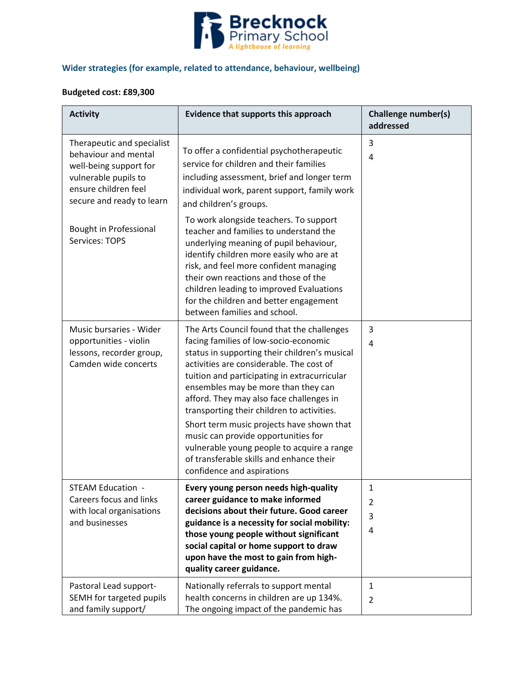

## **Wider strategies (for example, related to attendance, behaviour, wellbeing)**

### **Budgeted cost: £89,300**

| <b>Activity</b>                                                                                                                                           | Evidence that supports this approach                                                                                                                                                                                                                                                                                                                                                                           | <b>Challenge number(s)</b><br>addressed |
|-----------------------------------------------------------------------------------------------------------------------------------------------------------|----------------------------------------------------------------------------------------------------------------------------------------------------------------------------------------------------------------------------------------------------------------------------------------------------------------------------------------------------------------------------------------------------------------|-----------------------------------------|
| Therapeutic and specialist<br>behaviour and mental<br>well-being support for<br>vulnerable pupils to<br>ensure children feel<br>secure and ready to learn | To offer a confidential psychotherapeutic<br>service for children and their families<br>including assessment, brief and longer term<br>individual work, parent support, family work<br>and children's groups.                                                                                                                                                                                                  | 3<br>4                                  |
| <b>Bought in Professional</b><br>Services: TOPS                                                                                                           | To work alongside teachers. To support<br>teacher and families to understand the<br>underlying meaning of pupil behaviour,<br>identify children more easily who are at<br>risk, and feel more confident managing<br>their own reactions and those of the<br>children leading to improved Evaluations<br>for the children and better engagement<br>between families and school.                                 |                                         |
| Music bursaries - Wider<br>opportunities - violin<br>lessons, recorder group,<br>Camden wide concerts                                                     | The Arts Council found that the challenges<br>facing families of low-socio-economic<br>status in supporting their children's musical<br>activities are considerable. The cost of<br>tuition and participating in extracurricular<br>ensembles may be more than they can<br>afford. They may also face challenges in<br>transporting their children to activities.<br>Short term music projects have shown that | 3<br>4                                  |
|                                                                                                                                                           | music can provide opportunities for<br>vulnerable young people to acquire a range<br>of transferable skills and enhance their<br>confidence and aspirations                                                                                                                                                                                                                                                    |                                         |
| STEAM Education -<br>Careers focus and links<br>with local organisations<br>and businesses                                                                | Every young person needs high-quality<br>career guidance to make informed<br>decisions about their future. Good career<br>guidance is a necessity for social mobility:<br>those young people without significant<br>social capital or home support to draw<br>upon have the most to gain from high-<br>quality career guidance.                                                                                | 1<br>$\overline{2}$<br>3<br>4           |
| Pastoral Lead support-<br>SEMH for targeted pupils<br>and family support/                                                                                 | Nationally referrals to support mental<br>health concerns in children are up 134%.<br>The ongoing impact of the pandemic has                                                                                                                                                                                                                                                                                   | 1<br>$\overline{2}$                     |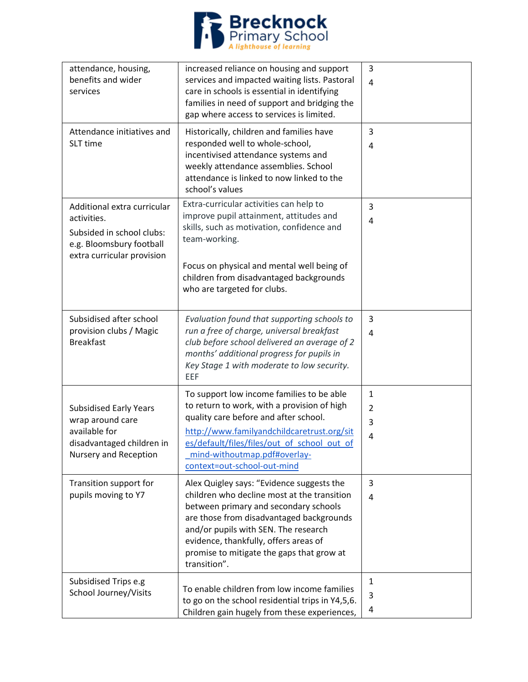

| attendance, housing,<br>benefits and wider<br>services                                                                            | increased reliance on housing and support<br>services and impacted waiting lists. Pastoral<br>care in schools is essential in identifying<br>families in need of support and bridging the<br>gap where access to services is limited.                                                                                       | 3<br>$\overline{4}$         |
|-----------------------------------------------------------------------------------------------------------------------------------|-----------------------------------------------------------------------------------------------------------------------------------------------------------------------------------------------------------------------------------------------------------------------------------------------------------------------------|-----------------------------|
| Attendance initiatives and<br>SLT time                                                                                            | Historically, children and families have<br>responded well to whole-school,<br>incentivised attendance systems and<br>weekly attendance assemblies. School<br>attendance is linked to now linked to the<br>school's values                                                                                                  | 3<br>4                      |
| Additional extra curricular<br>activities.<br>Subsided in school clubs:<br>e.g. Bloomsbury football<br>extra curricular provision | Extra-curricular activities can help to<br>improve pupil attainment, attitudes and<br>skills, such as motivation, confidence and<br>team-working.<br>Focus on physical and mental well being of<br>children from disadvantaged backgrounds<br>who are targeted for clubs.                                                   | 3<br>4                      |
| Subsidised after school<br>provision clubs / Magic<br><b>Breakfast</b>                                                            | Evaluation found that supporting schools to<br>run a free of charge, universal breakfast<br>club before school delivered an average of 2<br>months' additional progress for pupils in<br>Key Stage 1 with moderate to low security.<br>EEF                                                                                  | 3<br>$\overline{4}$         |
| <b>Subsidised Early Years</b><br>wrap around care<br>available for<br>disadvantaged children in<br>Nursery and Reception          | To support low income families to be able<br>to return to work, with a provision of high<br>quality care before and after school.<br>http://www.familyandchildcaretrust.org/sit<br>es/default/files/files/out of school out of<br>mind-withoutmap.pdf#overlay-<br>context=out-school-out-mind                               | $\mathbf{1}$<br>2<br>3<br>4 |
| Transition support for<br>pupils moving to Y7                                                                                     | Alex Quigley says: "Evidence suggests the<br>children who decline most at the transition<br>between primary and secondary schools<br>are those from disadvantaged backgrounds<br>and/or pupils with SEN. The research<br>evidence, thankfully, offers areas of<br>promise to mitigate the gaps that grow at<br>transition". | 3<br>4                      |
| Subsidised Trips e.g<br>School Journey/Visits                                                                                     | To enable children from low income families<br>to go on the school residential trips in Y4,5,6.<br>Children gain hugely from these experiences,                                                                                                                                                                             | $\mathbf{1}$<br>3<br>4      |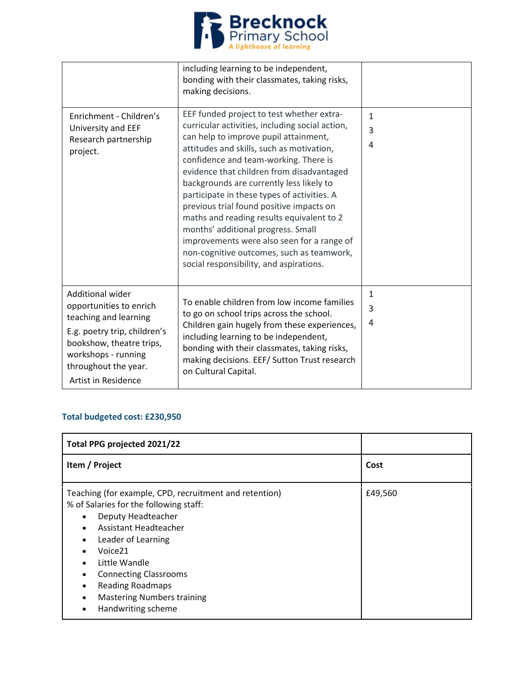

|                                                                                                                                                                                                        | including learning to be independent,<br>bonding with their classmates, taking risks,<br>making decisions.                                                                                                                                                                                                                                                                                                                                                                                                                                                                                                                               |             |
|--------------------------------------------------------------------------------------------------------------------------------------------------------------------------------------------------------|------------------------------------------------------------------------------------------------------------------------------------------------------------------------------------------------------------------------------------------------------------------------------------------------------------------------------------------------------------------------------------------------------------------------------------------------------------------------------------------------------------------------------------------------------------------------------------------------------------------------------------------|-------------|
| Enrichment - Children's<br>University and EEF<br>Research partnership<br>project.                                                                                                                      | EEF funded project to test whether extra-<br>curricular activities, including social action,<br>can help to improve pupil attainment,<br>attitudes and skills, such as motivation,<br>confidence and team-working. There is<br>evidence that children from disadvantaged<br>backgrounds are currently less likely to<br>participate in these types of activities. A<br>previous trial found positive impacts on<br>maths and reading results equivalent to 2<br>months' additional progress. Small<br>improvements were also seen for a range of<br>non-cognitive outcomes, such as teamwork,<br>social responsibility, and aspirations. | 1<br>3<br>4 |
| Additional wider<br>opportunities to enrich<br>teaching and learning<br>E.g. poetry trip, children's<br>bookshow, theatre trips,<br>workshops - running<br>throughout the year.<br>Artist in Residence | To enable children from low income families<br>to go on school trips across the school.<br>Children gain hugely from these experiences,<br>including learning to be independent,<br>bonding with their classmates, taking risks,<br>making decisions. EEF/ Sutton Trust research<br>on Cultural Capital.                                                                                                                                                                                                                                                                                                                                 | 1<br>3<br>4 |

## **Total budgeted cost: £230,950**

| Total PPG projected 2021/22                                                                                                                                                                                                                                                                                                                   |         |
|-----------------------------------------------------------------------------------------------------------------------------------------------------------------------------------------------------------------------------------------------------------------------------------------------------------------------------------------------|---------|
| Item / Project                                                                                                                                                                                                                                                                                                                                | Cost    |
| Teaching (for example, CPD, recruitment and retention)<br>% of Salaries for the following staff:<br>Deputy Headteacher<br>Assistant Headteacher<br>Leader of Learning<br>Voice <sub>21</sub><br>Little Wandle<br><b>Connecting Classrooms</b><br><b>Reading Roadmaps</b><br>٠<br><b>Mastering Numbers training</b><br>٠<br>Handwriting scheme | £49,560 |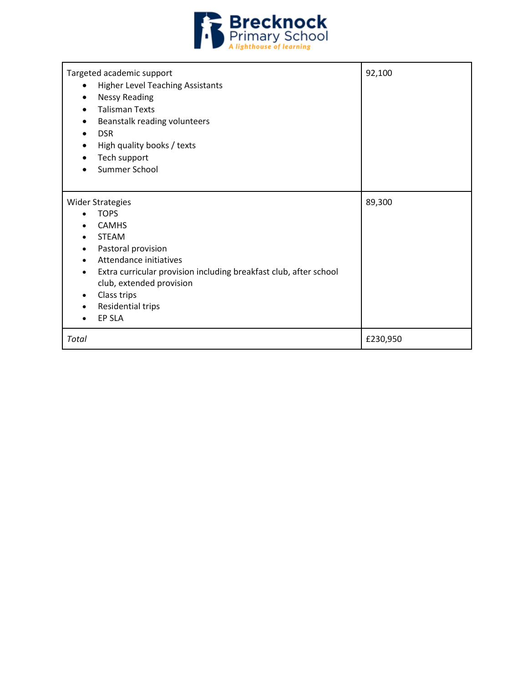

| Targeted academic support<br><b>Higher Level Teaching Assistants</b><br>$\bullet$<br><b>Nessy Reading</b><br><b>Talisman Texts</b><br>Beanstalk reading volunteers<br><b>DSR</b><br>$\bullet$<br>High quality books / texts<br>$\bullet$<br>Tech support<br>Summer School | 92,100   |
|---------------------------------------------------------------------------------------------------------------------------------------------------------------------------------------------------------------------------------------------------------------------------|----------|
| <b>Wider Strategies</b><br><b>TOPS</b><br><b>CAMHS</b><br><b>STEAM</b><br>Pastoral provision<br>Attendance initiatives<br>Extra curricular provision including breakfast club, after school<br>club, extended provision<br>Class trips<br>Residential trips<br>EP SLA     | 89,300   |
| Total                                                                                                                                                                                                                                                                     | £230,950 |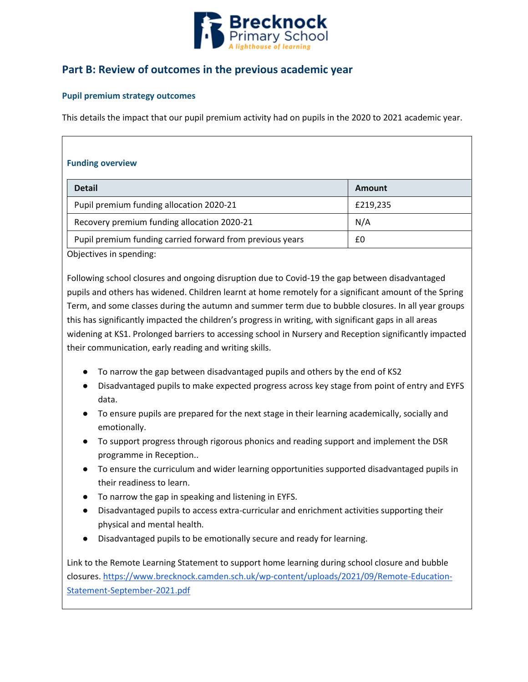

## **Part B: Review of outcomes in the previous academic year**

### **Pupil premium strategy outcomes**

This details the impact that our pupil premium activity had on pupils in the 2020 to 2021 academic year.

| <b>Funding overview</b>                                   |          |
|-----------------------------------------------------------|----------|
| <b>Detail</b>                                             | Amount   |
| Pupil premium funding allocation 2020-21                  | £219,235 |
| Recovery premium funding allocation 2020-21               | N/A      |
| Pupil premium funding carried forward from previous years | £0       |

Objectives in spending:

Following school closures and ongoing disruption due to Covid-19 the gap between disadvantaged pupils and others has widened. Children learnt at home remotely for a significant amount of the Spring Term, and some classes during the autumn and summer term due to bubble closures. In all year groups this has significantly impacted the children's progress in writing, with significant gaps in all areas widening at KS1. Prolonged barriers to accessing school in Nursery and Reception significantly impacted their communication, early reading and writing skills.

- To narrow the gap between disadvantaged pupils and others by the end of KS2
- Disadvantaged pupils to make expected progress across key stage from point of entry and EYFS data.
- To ensure pupils are prepared for the next stage in their learning academically, socially and emotionally.
- To support progress through rigorous phonics and reading support and implement the DSR programme in Reception..
- To ensure the curriculum and wider learning opportunities supported disadvantaged pupils in their readiness to learn.
- To narrow the gap in speaking and listening in EYFS.
- Disadvantaged pupils to access extra-curricular and enrichment activities supporting their physical and mental health.
- Disadvantaged pupils to be emotionally secure and ready for learning.

Link to the Remote Learning Statement to support home learning during school closure and bubble closures[. https://www.brecknock.camden.sch.uk/wp-content/uploads/2021/09/Remote-Education-](https://www.brecknock.camden.sch.uk/wp-content/uploads/2021/09/Remote-Education-Statement-September-2021.pdf)[Statement-September-2021.pdf](https://www.brecknock.camden.sch.uk/wp-content/uploads/2021/09/Remote-Education-Statement-September-2021.pdf)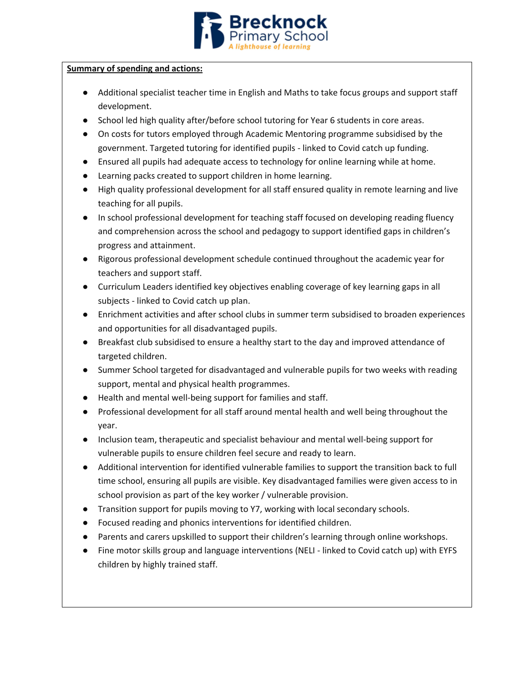

### **Summary of spending and actions:**

- Additional specialist teacher time in English and Maths to take focus groups and support staff development.
- School led high quality after/before school tutoring for Year 6 students in core areas.
- On costs for tutors employed through Academic Mentoring programme subsidised by the government. Targeted tutoring for identified pupils - linked to Covid catch up funding.
- Ensured all pupils had adequate access to technology for online learning while at home.
- Learning packs created to support children in home learning.
- High quality professional development for all staff ensured quality in remote learning and live teaching for all pupils.
- In school professional development for teaching staff focused on developing reading fluency and comprehension across the school and pedagogy to support identified gaps in children's progress and attainment.
- Rigorous professional development schedule continued throughout the academic year for teachers and support staff.
- Curriculum Leaders identified key objectives enabling coverage of key learning gaps in all subjects - linked to Covid catch up plan.
- Enrichment activities and after school clubs in summer term subsidised to broaden experiences and opportunities for all disadvantaged pupils.
- Breakfast club subsidised to ensure a healthy start to the day and improved attendance of targeted children.
- Summer School targeted for disadvantaged and vulnerable pupils for two weeks with reading support, mental and physical health programmes.
- Health and mental well-being support for families and staff.
- Professional development for all staff around mental health and well being throughout the year.
- Inclusion team, therapeutic and specialist behaviour and mental well-being support for vulnerable pupils to ensure children feel secure and ready to learn.
- Additional intervention for identified vulnerable families to support the transition back to full time school, ensuring all pupils are visible. Key disadvantaged families were given access to in school provision as part of the key worker / vulnerable provision.
- Transition support for pupils moving to Y7, working with local secondary schools.
- Focused reading and phonics interventions for identified children.
- Parents and carers upskilled to support their children's learning through online workshops.
- Fine motor skills group and language interventions (NELI linked to Covid catch up) with EYFS children by highly trained staff.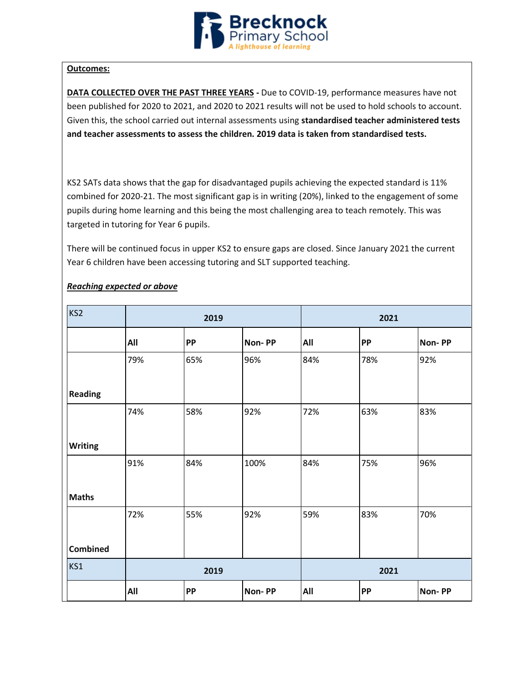

### **Outcomes:**

**DATA COLLECTED OVER THE PAST THREE YEARS -** Due to COVID-19, performance measures have not been published for 2020 to 2021, and 2020 to 2021 results will not be used to hold schools to account. Given this, the school carried out internal assessments using **standardised teacher administered tests and teacher assessments to assess the children. 2019 data is taken from standardised tests.** 

KS2 SATs data shows that the gap for disadvantaged pupils achieving the expected standard is 11% combined for 2020-21. The most significant gap is in writing (20%), linked to the engagement of some pupils during home learning and this being the most challenging area to teach remotely. This was targeted in tutoring for Year 6 pupils.

There will be continued focus in upper KS2 to ensure gaps are closed. Since January 2021 the current Year 6 children have been accessing tutoring and SLT supported teaching.

| KS <sub>2</sub> | 2019 |           |        |     | 2021 |        |  |
|-----------------|------|-----------|--------|-----|------|--------|--|
|                 | All  | <b>PP</b> | Non-PP | All | PP   | Non-PP |  |
|                 | 79%  | 65%       | 96%    | 84% | 78%  | 92%    |  |
| <b>Reading</b>  |      |           |        |     |      |        |  |
|                 | 74%  | 58%       | 92%    | 72% | 63%  | 83%    |  |
| <b>Writing</b>  |      |           |        |     |      |        |  |
|                 | 91%  | 84%       | 100%   | 84% | 75%  | 96%    |  |
| <b>Maths</b>    |      |           |        |     |      |        |  |
|                 | 72%  | 55%       | 92%    | 59% | 83%  | 70%    |  |
| <b>Combined</b> |      |           |        |     |      |        |  |
| KS1             |      | 2019      |        |     | 2021 |        |  |
|                 | All  | PP        | Non-PP | All | PP   | Non-PP |  |

### *Reaching expected or above*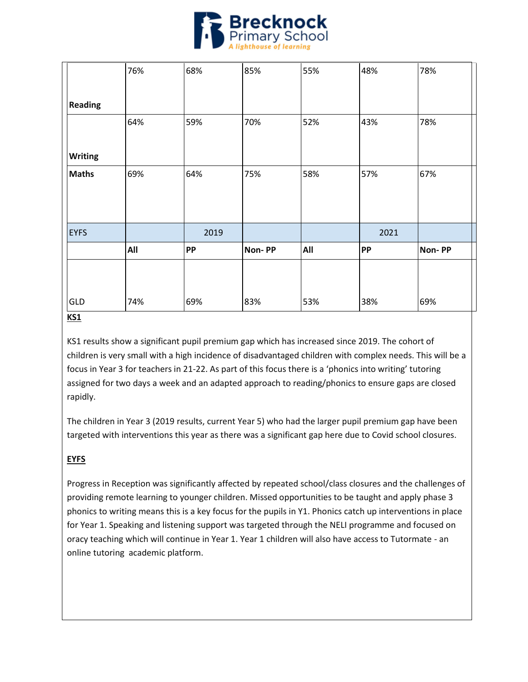

|                | 76% | 68%       | 85%    | 55% | 48%       | 78%    |
|----------------|-----|-----------|--------|-----|-----------|--------|
| <b>Reading</b> |     |           |        |     |           |        |
|                | 64% | 59%       | 70%    | 52% | 43%       | 78%    |
| <b>Writing</b> |     |           |        |     |           |        |
| <b>Maths</b>   | 69% | 64%       | 75%    | 58% | 57%       | 67%    |
|                |     |           |        |     |           |        |
| <b>EYFS</b>    |     | 2019      |        |     | 2021      |        |
|                | All | <b>PP</b> | Non-PP | All | <b>PP</b> | Non-PP |
|                |     |           |        |     |           |        |
| GLD            | 74% | 69%       | 83%    | 53% | 38%       | 69%    |

### **KS1**

KS1 results show a significant pupil premium gap which has increased since 2019. The cohort of children is very small with a high incidence of disadvantaged children with complex needs. This will be a focus in Year 3 for teachers in 21-22. As part of this focus there is a 'phonics into writing' tutoring assigned for two days a week and an adapted approach to reading/phonics to ensure gaps are closed rapidly.

The children in Year 3 (2019 results, current Year 5) who had the larger pupil premium gap have been targeted with interventions this year as there was a significant gap here due to Covid school closures.

## **EYFS**

Progress in Reception was significantly affected by repeated school/class closures and the challenges of providing remote learning to younger children. Missed opportunities to be taught and apply phase 3 phonics to writing means this is a key focus for the pupils in Y1. Phonics catch up interventions in place for Year 1. Speaking and listening support was targeted through the NELI programme and focused on oracy teaching which will continue in Year 1. Year 1 children will also have access to Tutormate - an online tutoring academic platform.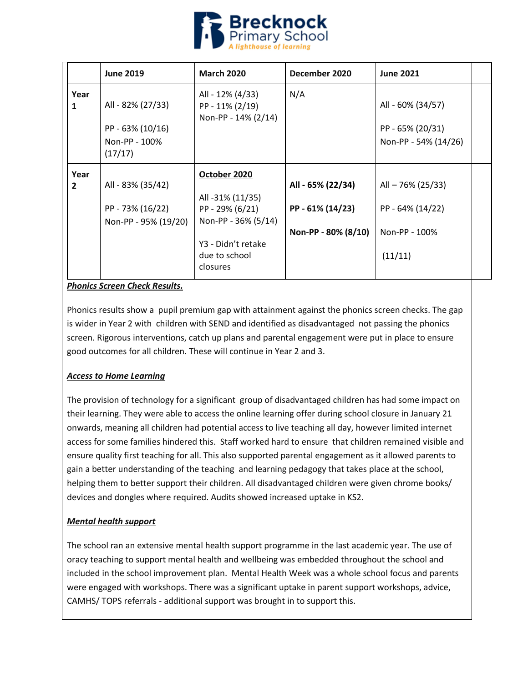

|                      | <b>June 2019</b>                                                  | <b>March 2020</b>                                                                                                             | December 2020                                                | <b>June 2021</b>                                                  |  |
|----------------------|-------------------------------------------------------------------|-------------------------------------------------------------------------------------------------------------------------------|--------------------------------------------------------------|-------------------------------------------------------------------|--|
| Year<br>1            | All - 82% (27/33)<br>PP - 63% (10/16)<br>Non-PP - 100%<br>(17/17) | All - 12% (4/33)<br>PP - 11% (2/19)<br>Non-PP - 14% (2/14)                                                                    | N/A                                                          | All - 60% (34/57)<br>PP - 65% (20/31)<br>Non-PP - 54% (14/26)     |  |
| Year<br>$\mathbf{2}$ | All - 83% (35/42)<br>PP - 73% (16/22)<br>Non-PP - 95% (19/20)     | October 2020<br>All -31% (11/35)<br>PP - 29% (6/21)<br>Non-PP - 36% (5/14)<br>Y3 - Didn't retake<br>due to school<br>closures | All - 65% (22/34)<br>PP - 61% (14/23)<br>Non-PP - 80% (8/10) | All - 76% (25/33)<br>PP - 64% (14/22)<br>Non-PP - 100%<br>(11/11) |  |

### *Phonics Screen Check Results.*

Phonics results show a pupil premium gap with attainment against the phonics screen checks. The gap is wider in Year 2 with children with SEND and identified as disadvantaged not passing the phonics screen. Rigorous interventions, catch up plans and parental engagement were put in place to ensure good outcomes for all children. These will continue in Year 2 and 3.

### *Access to Home Learning*

The provision of technology for a significant group of disadvantaged children has had some impact on their learning. They were able to access the online learning offer during school closure in January 21 onwards, meaning all children had potential access to live teaching all day, however limited internet access for some families hindered this. Staff worked hard to ensure that children remained visible and ensure quality first teaching for all. This also supported parental engagement as it allowed parents to gain a better understanding of the teaching and learning pedagogy that takes place at the school, helping them to better support their children. All disadvantaged children were given chrome books/ devices and dongles where required. Audits showed increased uptake in KS2.

### *Mental health support*

The school ran an extensive mental health support programme in the last academic year. The use of oracy teaching to support mental health and wellbeing was embedded throughout the school and included in the school improvement plan. Mental Health Week was a whole school focus and parents were engaged with workshops. There was a significant uptake in parent support workshops, advice, CAMHS/ TOPS referrals - additional support was brought in to support this.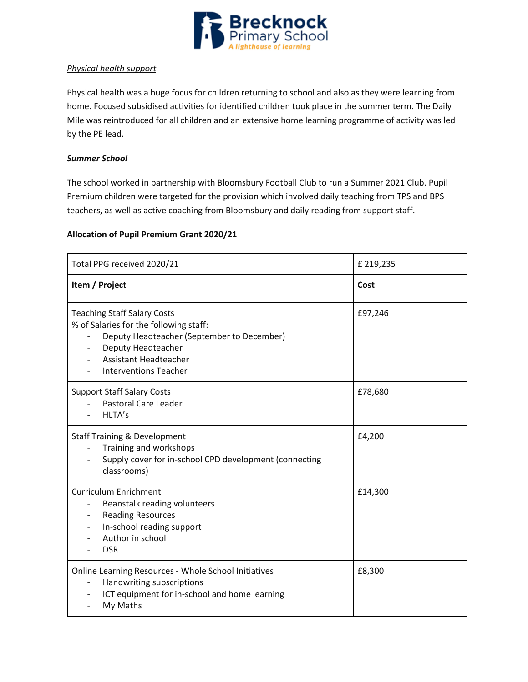

### *Physical health support*

Physical health was a huge focus for children returning to school and also as they were learning from home. Focused subsidised activities for identified children took place in the summer term. The Daily Mile was reintroduced for all children and an extensive home learning programme of activity was led by the PE lead.

### *Summer School*

The school worked in partnership with Bloomsbury Football Club to run a Summer 2021 Club. Pupil Premium children were targeted for the provision which involved daily teaching from TPS and BPS teachers, as well as active coaching from Bloomsbury and daily reading from support staff.

## **Allocation of Pupil Premium Grant 2020/21**

| Total PPG received 2020/21                                                                                                                                                                                       | £ 219,235 |
|------------------------------------------------------------------------------------------------------------------------------------------------------------------------------------------------------------------|-----------|
| Item / Project                                                                                                                                                                                                   | Cost      |
| <b>Teaching Staff Salary Costs</b><br>% of Salaries for the following staff:<br>Deputy Headteacher (September to December)<br>Deputy Headteacher<br><b>Assistant Headteacher</b><br><b>Interventions Teacher</b> | £97,246   |
| <b>Support Staff Salary Costs</b><br><b>Pastoral Care Leader</b><br>HLTA's                                                                                                                                       | £78,680   |
| <b>Staff Training &amp; Development</b><br>Training and workshops<br>Supply cover for in-school CPD development (connecting<br>classrooms)                                                                       | £4,200    |
| <b>Curriculum Enrichment</b><br>Beanstalk reading volunteers<br><b>Reading Resources</b><br>In-school reading support<br>Author in school<br><b>DSR</b>                                                          | £14,300   |
| Online Learning Resources - Whole School Initiatives<br>Handwriting subscriptions<br>$\overline{\phantom{0}}$<br>ICT equipment for in-school and home learning<br>My Maths                                       | £8,300    |